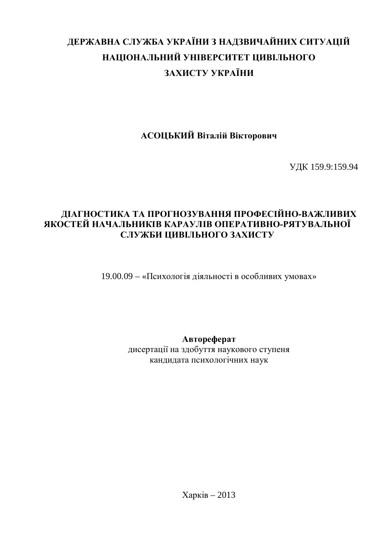# ДЕРЖАВНА СЛУЖБА УКРАЇНИ З НАДЗВИЧАЙНИХ СИТУАЦІЙ НАЦІОНАЛЬНИЙ УНІВЕРСИТЕТ ЦИВІЛЬНОГО ЗАХИСТУ УКРАЇНИ

**АСОЦЬКИЙ Віталій Вікторович** 

ɍȾɄ 159.9:159.94

# ДІАГНОСТИКА ТА ПРОГНОЗУВАННЯ ПРОФЕСІЙНО-ВАЖЛИВИХ **ЯКОСТЕЙ НАЧАЛЬНИКІВ КАРАУЛІВ ОПЕРАТИВНО-РЯТУВАЛЬНОЇ** СЛУЖБИ ЦИВІЛЬНОГО ЗАХИСТУ

19.00.09 – «Психологія діяльності в особливих умовах»

Автореферат

дисертації на здобуття наукового ступеня кандидата психологічних наук

 $Xapk$ ив – 2013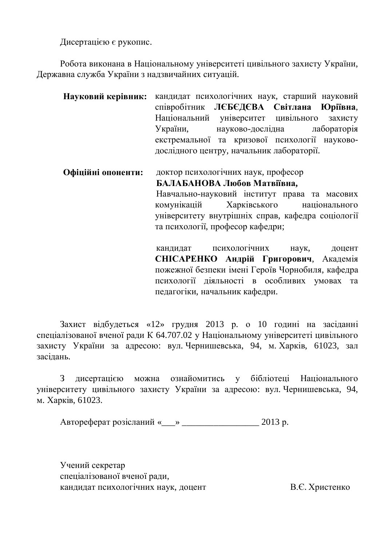Дисертацією є рукопис.

Робота виконана в Національному університеті цивільного захисту України, Державна служба України з надзвичайних ситуацій.

| Науковий керівник: кандидат психологічних наук, старший науковий |                                               |                                             |  |
|------------------------------------------------------------------|-----------------------------------------------|---------------------------------------------|--|
|                                                                  | співробітник ЛЄБЄДЄВА Світлана Юріївна,       |                                             |  |
|                                                                  |                                               | Національний університет цивільного захисту |  |
|                                                                  |                                               | України, науково-дослідна лабораторія       |  |
|                                                                  | екстремальної та кризової психології науково- |                                             |  |
|                                                                  |                                               | дослідного центру, начальник лабораторії.   |  |

Офіційні опоненти: доктор психологічних наук, професор **БАЛАБАНОВА Любов Матвіївна,** Навчально-науковий інститут права та масових комунікацій Харківського національного університету внутрішніх справ, кафедра соціології та психології, професор кафедри;

> кандидат психологічних наук, доцент СНІСАРЕНКО Андрій Григорович, Академія пожежної безпеки імені Героїв Чорнобиля, кафедра психології діяльності в особливих умовах та педагогіки, начальник кафедри.

Захист відбудеться «12» грудня 2013 р. о 10 годині на засіданні спеціалізованої вченої ради К 64.707.02 у Національному університеті цивільного захисту України за адресою: вул. Чернишевська, 94, м. Харків, 61023, зал засілань.

З дисертацією можна ознайомитись у бібліотеці Національного університету цивільного захисту України за адресою: вул. Чернишевська, 94, м. Харків. 61023.

Автореферат розісланий « $\rightarrow$  2013 р.

Учений секретар спеціалізованої вченої ради, кандидат психологічних наук, доцент В.Є. Христенко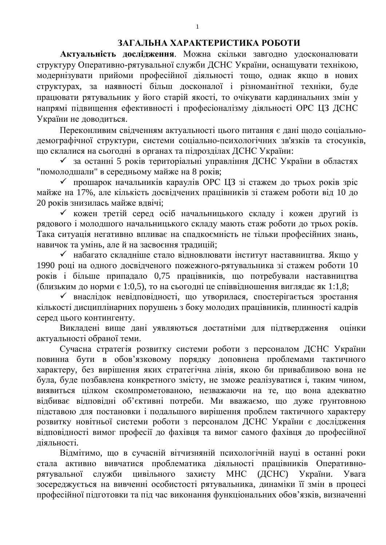#### ЗАГАЛЬНА ХАРАКТЕРИСТИКА РОБОТИ

Актуальність дослідження. Можна скільки завгодно удосконалювати структуру Оперативно-рятувальної служби ДСНС України, оснащувати технікою, модернізувати прийоми професійної діяльності тощо, однак якщо в нових структурах, за наявності більш досконалої і різноманітної техніки, буде працювати рятувальник у його старій якості, то очікувати кардинальних змін у напрямі підвищення ефективності і професіоналізму діяльності ОРС ЦЗ ДСНС України не доводиться.

Переконливим свідченням актуальності цього питання є дані щодо соціальнодемографічної структури, системи соціально-психологічних зв'язків та стосунків, що склалися на сьогодні в органах та підрозділах ДСНС України:

◆ за останні 5 років територіальні управління ДСНС України в областях "помолодшали" в середньому майже на 8 років;

 $\checkmark$  прошарок начальників караулів ОРС ЦЗ зі стажем до трьох років зріс майже на 17%, але кількість досвідчених працівників зі стажем роботи від 10 до 20 років знизилась майже вдвічі;

√ кожен третій серед осіб начальницького складу і кожен другий із рядового і молодшого начальницького складу мають стаж роботи до трьох років. Така ситуація негативно впливає на спадкоємність не тільки професійних знань, навичок та умінь, але й на засвоєння традицій;

◆ набагато складніше стало відновлювати інститут наставництва. Якщо у 1990 році на одного досвідченого пожежного-рятувальника зі стажем роботи 10 років і більше припадало 0,75 працівників, що потребували наставництва  $(б_\text{JH3BKUM\,IO}$ норми  $\epsilon$  1:0,5), то на сьогодні це співвідношення виглядає як 1:1,8;

◆ внаслідок невідповідності, що утворилася, спостерігається зростання кількості дисциплінарних порушень з боку молодих працівників, плинності кадрів серел цього контингенту.

Викладені вище дані уявляються достатніми для підтвердження оцінки актуальності обраної теми.

Сучасна стратегія розвитку системи роботи з персоналом ДСНС України повинна бути в обов'язковому порядку доповнена проблемами тактичного характеру, без вирішення яких стратегічна лінія, якою би привабливою вона не була, буде позбавлена конкретного змісту, не зможе реалізуватися і, таким чином, виявиться цілком скомпрометованою, незважаючи на те, що вона адекватно відбиває відповідні об'єктивні потреби. Ми вважаємо, що дуже ґрунтовною підставою для постановки і подальшого вирішення проблем тактичного характеру розвитку новітньої системи роботи з персоналом ДСНС України є дослідження відповідності вимог професії до фахівця та вимог самого фахівця до професійної ліяльності.

Відмітимо, що в сучасній вітчизняній психологічній науці в останні роки стала активно вивчатися проблематика діяльності працівників Оперативнорятувальної служби цивільного захисту МНС (ДСНС) України. Увага зосереджується на вивченні особистості рятувальника, динаміки її змін в процесі професійної підготовки та під час виконання функціональних обов'язків, визначенні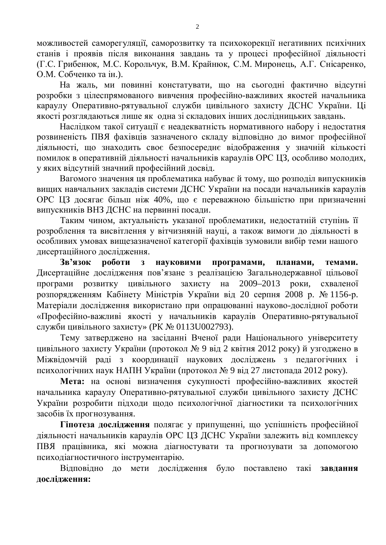можливостей саморегуляції, саморозвитку та психокорекції негативних психічних станів і проявів після виконання завдань та у процесі професійної діяльності (Г.С. Грибенюк, М.С. Корольчук, В.М. Крайнюк, С.М. Миронець, А.Г. Снісаренко, О.М. Собченко та ін.).

На жаль, ми повинні констатувати, що на сьогодні фактично відсутні розробки з цілеспрямованого вивчення професійно-важливих якостей начальника караулу Оперативно-рятувальної служби цивільного захисту ДСНС України. Ці якості розглядаються лише як одна зі складових інших дослідницьких завдань.

Наслідком такої ситуації є неадекватність нормативного набору і недостатня розвиненість ПВЯ фахівців зазначеного складу відповідно до вимог професійної діяльності, що знаходить своє безпосереднє відображення у значній кількості помилок в оперативній діяльності начальників караулів ОРС ЦЗ, особливо молодих, v яких вілсутній значний професійний лосвіл.

Вагомого значення ця проблематика набуває й тому, що розподіл випускників вищих навчальних закладів системи ДСНС України на посади начальників караулів ОРС ЦЗ досягає більш ніж 40%, що є переважною більшістю при призначенні випускників ВНЗ ДСНС на первинні посади.

Таким чином, актуальність указаної проблематики, недостатній ступінь її розроблення та висвітлення у вітчизняній науці, а також вимоги до діяльності в особливих умовах вищезазначеної категорії фахівців зумовили вибір теми нашого исертаційного лослідження.

Зв'язок роботи з науковими програмами, планами, темами. Дисертаційне дослідження пов'язане з реалізацією Загальнодержавної цільової програми розвитку цивільного захисту на 2009–2013 роки, схваленої розпорядженням Кабінету Міністрів України від 20 серпня 2008 р. № 1156-р. Матеріали дослідження використано при опрацюванні науково-дослідної роботи «Професійно-важливі якості у начальників караулів Оперативно-рятувальної служби цивільного захисту» (РК № 0113U002793).

Тему затверджено на засіданні Вченої ради Національного університету цивільного захисту України (протокол № 9 від 2 квітня 2012 року) й узгоджено в Міжвідомчій раді з координації наукових досліджень з педагогічних і психологічних наук НАПН України (протокол № 9 від 27 листопада 2012 року).

Мета: на основі визначення сукупності професійно-важливих якостей начальника караулу Оперативно-рятувальної служби цивільного захисту ДСНС України розробити підходи щодо психологічної діагностики та психологічних засобів їх прогнозування.

Гіпотеза дослідження полягає у припущенні, що успішність професійної діяльності начальників караулів ОРС ЦЗ ДСНС України залежить від комплексу ПВЯ працівника, які можна діагностувати та прогнозувати за допомогою психодіагностичного інструментарію.

Відповідно до мети дослідження було поставлено такі завдання послілження: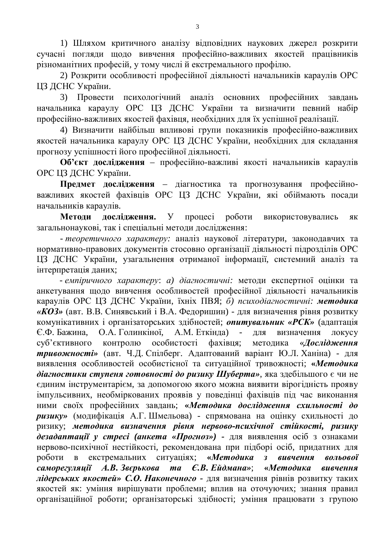1) Шляхом критичного аналізу відповідних наукових джерел розкрити сучасні погляди щодо вивчення професійно-важливих якостей працівників різноманітних професій, у тому числі й екстремального профілю.

2) Розкрити особливості професійної діяльності начальників караулів ОРС ЦЗ ДСНС України.

3) Провести психологічний аналіз основних професійних завдань начальника караулу ОРС ЦЗ ДСНС України та визначити певний набір професійно-важливих якостей фахівця, необхілних лля їх успішної реалізації.

4) Визначити найбільш впливові групи показників професійно-важливих якостей начальника караулу ОРС ЦЗ ДСНС України, необхідних для складання прогнозу успішності його професійної діяльності.

Об'єкт дослідження – професійно-важливі якості начальників караулів ОРС ЦЗ ДСНС України.

Предмет дослідження - діагностика та прогнозування професійноважливих якостей фахівців ОРС ЦЗ ДСНС України, які обіймають посади начальників караулів.

Методи дослідження. У процесі роботи використовувались як загальнонаукові, так і спеціальні методи дослідження:

- *теоретичного характеру*: аналіз наукової літератури, законодавчих та нормативно-правових документів стосовно організації діяльності підрозділів ОРС ШЗ ДСНС України, узагальнення отриманої інформації, системний аналіз та інтерпретація даних;

- емпіричного характеру: а) діагностичні: методи експертної оцінки та анкетування щодо вивчення особливостей професійної діяльності начальників караулів ОРС ЦЗ ДСНС України, їхніх ПВЯ; б) психодіагностичні: методика «*KO*3» (авт. В.В. Синявський і В.А. Федоришин) - для визначення рівня розвитку комунікативних і організаторських здібностей; *опитувальник «РСК»* (адаптація Є.Ф. Бажина, О.А. Голинкіної, А.М. Еткінда) - для визначення локусу суб'єктивного контролю особистості фахівця; методика «Дослідження **тривожності»** (авт. Ч.Д. Спілберг. Адаптований варіант Ю.Л. Ханіна) - для виявлення особливостей особистісної та ситуаційної тривожності; «Методика діагностики ступеня готовності до ризику Шуберта», яка здебільшого є чи не єдиним інструментарієм, за допомогою якого можна виявити вірогідність прояву імпульсивних, необміркованих проявів у поведінці фахівців під час виконання ними своїх професійних завдань; «Методика дослідження схильності до **ризику»** (модифікація А.Г. Шмельова) - спрямована на оцінку схильності до ризику; *методика визначення рівня нервово-психічної стійкості*, ризику  $\theta$ езадаптації у стресі (анкета «Прогноз») - для виявлення осіб з ознаками нервово-психічної нестійкості, рекомендована при підборі осіб, придатних для роботи в екстремальних ситуаціях; «Методика з вивчення вольової саморегуляції А.В. Звєрькова та Є.В. Ейдмана»; «Методика вивчення дідерських якостей» С.О. Наконечного - для визначення рівнів розвитку таких якостей як: уміння вирішувати проблеми; вплив на оточуючих; знання правил організаційної роботи; організаторські здібності; уміння працювати з групою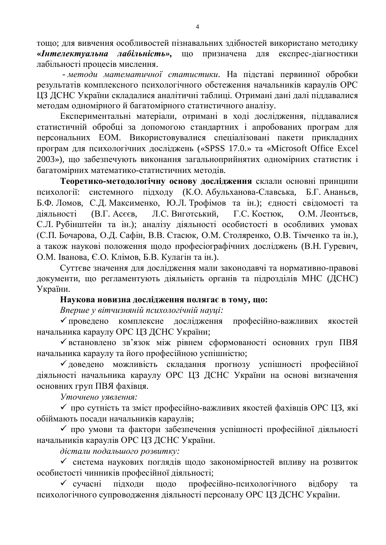тощо; для вивчення особливостей пізнавальних здібностей використано методику «*Интелектуальна лабільність»***,** що призначена для експрес-діагностики лабільності процесів мислення.

**-** методи математичної статистики. На підставі первинної обробки результатів комплексного психологічного обстеження начальників караулів ОРС ЦЗ ДСНС України складалися аналітичні таблиці. Отримані дані далі піддавалися методам одномірного й багатомірного статистичного аналізу.

Експериментальні матеріали, отримані в ході дослідження, піддавалися статистичній обробці за допомогою стандартних і апробованих програм для персональних ЕОМ. Використовувалися спеціалізовані пакети прикладних програм для психологічних досліджень («SPSS 17.0.» та «Microsoft Office Excel 2003»), що забезпечують виконання загальноприйнятих одномірних статистик і багатомірних математико-статистичних методів.

Теоретико-методологічну основу дослідження склали основні принципи психології: системного підходу (К.О. Абульханова-Славська, Б.Г. Ананьєв, Б.Ф. Ломов, С.Д. Максименко, Ю.Л. Трофімов та ін.); єдності свідомості та діяльності (В.Г. Асєєв, Л.С. Виготський, Г.С. Костюк, О.М. Леонтьєв, С.Л. Рубінштейн та ін.); аналізу діяльності особистості в особливих умовах (С.П. Бочарова, О.Д. Сафін, В.В. Стасюк, О.М. Столяренко, О.В. Тімченко та ін.), а також наукові положення щодо професіографічних досліджень (В.Н. Гуревич, О.М. Іванова, Є.О. Клімов, Б.В. Кулагін та ін.).

Суттєве значення для дослідження мали законодавчі та нормативно-правові документи, що регламентують діяльність органів та підрозділів МНС (ДСНС) України.

#### Наукова новизна дослідження полягає в тому, що:

Вперше у вітчизняній психологічній науці:

• проведено комплексне дослідження професійно-важливих якостей начальника караулу ОРС ЦЗ ДСНС України;

◆ встановлено зв'язок між рівнем сформованості основних груп ПВЯ начальника караулу та його професійною успішністю;

√доведено можливість складання прогнозу успішності професійної діяльності начальника караулу ОРС ЦЗ ДСНС України на основі визначення основних груп ПВЯ фахівця.

*ɍɬɨɱɧɟɧɨ ɭɹɜɥɟɧɧɹ:* 

◆ про сутність та зміст професійно-важливих якостей фахівців ОРС ЦЗ, які обіймають посади начальників караулів;

√ про умови та фактори забезпечення успішності професійної діяльності начальників караулів ОРС ЦЗ ДСНС України.

 $\delta$ *icтали подальшого розвитку:* 

√ система наукових поглядів щодо закономірностей впливу на розвиток особистості чинників професійної діяльності;

◆ сучасні підходи щодо професійно-психологічного відбору та психологічного супроводження діяльності персоналу ОРС ЦЗ ДСНС України.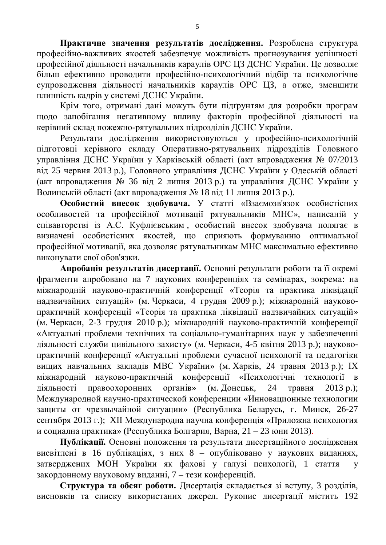Практичне значення результатів дослідження. Розроблена структура професійно-важливих якостей забезпечує можливість прогнозування успішності професійної діяльності начальників караулів ОРС ЦЗ ДСНС України. Це дозволяє більш ефективно проводити професійно-психологічний відбір та психологічне супроводження діяльності начальників караулів ОРС ЦЗ, а отже, зменшити плинність кадрів у системі ДСНС України.

Крім того, отримані дані можуть бути підґрунтям для розробки програм щодо запобігання негативному впливу факторів професійної діяльності на керівний склад пожежно-рятувальних підрозділів ДСНС України.

Результати дослідження використовуються у професійно-психологічній підготовці керівного складу Оперативно-рятувальних підрозділів Головного управління ДСНС України у Харківській області (акт впровадження № 07/2013 від 25 червня 2013 р.), Головного управління ДСНС України у Одеській області (акт впровадження № 36 від 2 липня 2013 р.) та управління ДСНС України у Волинській області (акт впровадження № 18 від 11 липня 2013 р.).

Особистий внесок здобувача. У статті «Взаємозв'язок особистісних особливостей та професійної мотивації рятувальників МНС», написаній у співавторстві із А.С. Куфлієвським, особистий внесок здобувача полягає в визначені особистісних якостей, що сприяють формуванню оптимальної професійної мотивації, яка дозволяє рятувальникам МНС максимально ефективно виконувати свої обов'язки.

Апробація результатів дисертації. Основні результати роботи та її окремі фрагменти апробовано на 7 наукових конференціях та семінарах, зокрема: на міжнародній науково-практичній конференції «Теорія та практика ліквідації надзвичайних ситуацій» (м. Черкаси, 4 грудня 2009 р.); міжнародній науковопрактичній конференції «Теорія та практика ліквідації надзвичайних ситуацій» (м. Черкаси, 2-3 грудня 2010 р.); міжнародній науково-практичній конференції «Актуальні проблеми технічних та соціально-гуманітарних наук у забезпеченні діяльності служби цивільного захисту» (м. Черкаси, 4-5 квітня 2013 р.); науковопрактичній конференції «Актуальні проблеми сучасної психології та педагогіки вищих навчальних закладів МВС України» (м. Харків, 24 травня 2013 р.); ІХ міжнародній науково-практичній конференції «Психологічні технології в діяльності правоохоронних органів» (м. Донецьк, 24 травня 2013 р.); Международной научно-практической конференции «Инновационные технологии защиты от чрезвычайной ситуации» (Республика Беларусь, г. Минск, 26-27 сентября 2013 г.); XII Международна научна конференція «Приложна психология и социална практика» (Республика Болгария, Варна, 21 – 23 юни 2013).

Публікації. Основні положення та результати дисертаційного дослідження висвітлені в 16 публікаціях, з них 8 – опубліковано у наукових виданнях, затверджених МОН України як фахові у галузі психології, 1 стаття у закордонному науковому виданні, 7 – тези конференцій.

Структура та обсяг роботи. Дисертація складається зі вступу, 3 розділів, висновків та списку використаних джерел. Рукопис дисертації містить 192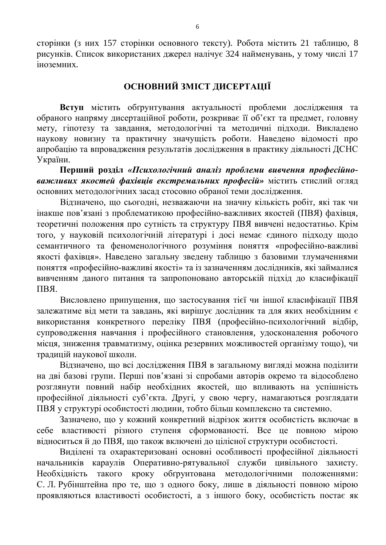сторінки (з них 157 сторінки основного тексту). Робота містить 21 таблицю, 8 рисунків. Список використаних джерел налічує 324 найменувань, у тому числі 17 іноземних.

# ОСНОВНИЙ ЗМІСТ ДИСЕРТАЦІЇ

Вступ містить обґрунтування актуальності проблеми дослідження та обраного напряму дисертаційної роботи, розкриває її об'єкт та предмет, головну мету, гіпотезу та завдання, методологічні та методичні підходи. Викладено наукову новизну та практичну значущість роботи. Наведено відомості про апробацію та впровадження результатів дослідження в практику діяльності ДСНС України.

Перший розділ «Психологічний аналіз проблеми вивчення професійно**важливих якостей фахівиів екстремальних професій» містить стислий огляд** основних методологічних засад стосовно обраної теми дослідження.

Відзначено, що сьогодні, незважаючи на значну кількість робіт, які так чи інакше пов'язані з проблематикою професійно-важливих якостей (ПВЯ) фахівця, теоретичні положення про сутність та структуру ПВЯ вивчені недостатньо. Крім того, у науковій психологічній літературі і досі немає єдиного підходу щодо семантичного та феноменологічного розуміння поняття «професійно-важливі якості фахівця». Наведено загальну зведену таблицю з базовими тлумаченнями поняття «професійно-важливі якості» та із зазначенням дослідників, які займалися вивченням даного питання та запропоновано авторській підхід до класифікації  $\Pi$ <sub>B</sub> $\Pi$ 

Висловлено припущення, що застосування тієї чи іншої класифікації ПВЯ залежатиме від мети та завдань, які вирішує дослідник та для яких необхідним є використання конкретного переліку ПВЯ (професійно-психологічний відбір, супроводження навчання і професійного становлення, удосконалення робочого місця, зниження травматизму, оцінка резервних можливостей організму тощо), чи традицій наукової школи.

Відзначено, що всі дослідження ПВЯ в загальному вигляді можна поділити на дві базові групи. Перші пов'язані зі спробами авторів окремо та відособлено розглянути повний набір необхідних якостей, що впливають на успішність професійної діяльності суб'єкта. Другі, у свою чергу, намагаються розглядати ПВЯ у структурі особистості людини, тобто більш комплексно та системно.

Зазначено, що у кожний конкретний відрізок життя особистість включає в себе властивості різного ступеня сформованості. Все це повною мірою відноситься й до ПВЯ, що також включені до цілісної структури особистості.

Виділені та охарактеризовані основні особливості професійної діяльності начальників караулів Оперативно-рятувальної служби цивільного захисту. Необхідність такого кроку обґрунтована методологічними положеннями: С. Л. Рубінштейна про те, що з одного боку, лише в діяльності повною мірою проявляються властивості особистості, а з іншого боку, особистість постає як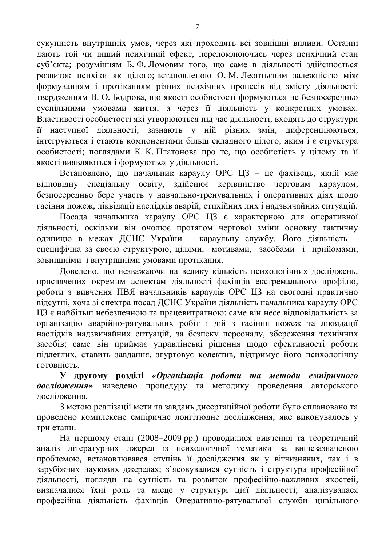сукупність внутрішніх умов, через які проходять всі зовнішні впливи. Останні дають той чи інший психічний ефект, переломлюючись через психічний стан суб'єкта; розумінням Б. Ф. Ломовим того, що саме в діяльності здійснюється розвиток психіки як цілого; встановленою О. М. Леонтьєвим залежністю між формуванням і протіканням різних психічних процесів від змісту діяльності; твердженням В. О. Бодрова, що якості особистості формуються не безпосередньо суспільними умовами життя, а через її діяльність у конкретних умовах. Властивості особистості які утворюються під час діяльності, входять до структури її наступної діяльності, зазнають у ній різних змін, диференціюються, інтегруються і стають компонентами більш складного цілого, яким і є структура особистості; поглядами К. К. Платонова про те, що особистість у цілому та її якості виявляються і формуються у діяльності.

Встановлено, що начальник караулу ОРС ЦЗ – це фахівець, який має відповідну спеціальну освіту, здійснює керівництво черговим караулом, безпосередньо бере участь у навчально-тренувальних і оперативних діях щодо гасіння пожеж, ліквідації наслідків аварій, стихійних лих і надзвичайних ситуацій.

Посада начальника караулу ОРС ЦЗ є характерною для оперативної діяльності, оскільки він очолює протягом чергової зміни основну тактичну одиницю в межах ДСНС України - караульну службу. Його діяльність специфічна за своєю структурою, цілями, мотивами, засобами і прийомами, зовнішніми і внутрішніми умовами протікання.

Доведено, що незважаючи на велику кількість психологічних досліджень, присвячених окремим аспектам діяльності фахівців екстремального профілю, роботи з вивчення ПВЯ начальників караулів ОРС ЦЗ на сьогодні практично відсутні, хоча зі спектра посад ДСНС України діяльність начальника караулу ОРС ЦЗ є найбільш небезпечною та працевитратною: саме він несе відповідальність за організацію аварійно-рятувальних робіт і дій з гасіння пожеж та ліквідації наслідків надзвичайних ситуацій, за безпеку персоналу, збереження технічних засобів; саме він приймає управлінські рішення щодо ефективності роботи підлеглих, ставить завдання, згуртовує колектив, підтримує його психологічну готовність.

**У** другому розділі *«Організація роботи та методи емпіричного* дослідження» наведено процедуру та методику проведення авторського лослілження.

З метою реалізації мети та завдань дисертаційної роботи було сплановано та проведено комплексне емпіричне лонгітюдне дослідження, яке виконувалось у три етапи.

На першому етапі (2008–2009 рр.) проводилися вивчення та теоретичний аналіз літературних джерел із психологічної тематики за вищезазначеною проблемою, встановлювався ступінь її дослідження як у вітчизняних, так і в зарубіжних наукових джерелах; з'ясовувалися сутність і структура професійної діяльності, погляди на сутність та розвиток професійно-важливих якостей, визначалися їхні роль та місце у структурі цієї діяльності; аналізувалася професійна діяльність фахівців Оперативно-рятувальної служби цивільного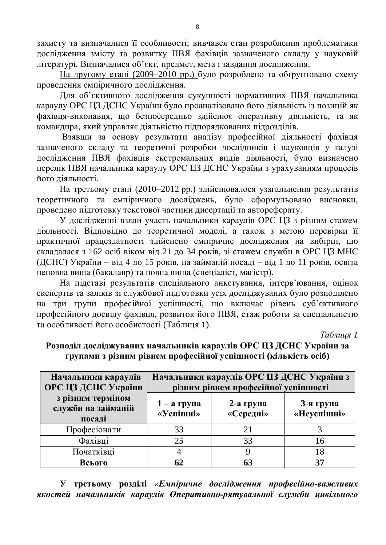захисту та визначалися її особливості; вивчався стан розроблення проблематики дослідження змісту та розвитку ПВЯ фахівців зазначеного складу у науковій літературі. Визначалися об'єкт, предмет, мета і завдання дослідження.

На другому етапі (2009–2010 рр.) було розроблено та обґрунтовано схему проведення емпіричного дослідження.

Для об'єктивного дослідження сукупності нормативних ПВЯ начальника караулу ОРС ЦЗ ДСНС України було проаналізовано його діяльність із позицій як фахівця-виконавця, що безпосередньо здійснює оперативну діяльність, та як командира, який управляє діяльністю підпорядкованих підрозділів.

Взявши за основу результати аналізу професійної діяльності фахівця зазначеного складу та теоретичні розробки дослідників і науковців у галузі дослідження ПВЯ фахівців екстремальних видів діяльності, було визначено перелік ПВЯ начальника караулу ОРС ЦЗ ДСНС України з урахуванням процесів його ліяльності.

На третьому етапі (2010–2012 рр.) здійснювалося узагальнення результатів теоретичного та емпіричного досліджень, було сформульовано висновки, проведено підготовку текстової частини дисертації та автореферату.

У дослідженні взяли участь начальники караулів ОРС ЦЗ з різним стажем діяльності. Відповідно до теоретичної моделі, а також з метою перевірки її практичної працездатності здійснено емпіричне дослідження на вибірці, що склалалася з 162 осіб віком віл 21 ло 34 років, зі стажем служби в ОРС ЦЗ МНС (ДСНС) України – від 4 до 15 років, на займаній посаді – від 1 до 11 років, освіта неповна вища (бакалавр) та повна вища (спеціаліст, магістр).

На підставі результатів спеціального анкетування, інтерв'ювання, оцінок експертів та заліків зі службової підготовки усіх досліджуваних було розподілено на три групи професійної успішності, що включає рівень суб'єктивного професійного досвіду фахівця, розвиток його ПВЯ, стаж роботи за спеціальністю та особливості його особистості (Таблиця 1).

 $Ta6$ лиця 1

| Начальники караулів<br>ОРС ЦЗ ДСНС України        | Начальники караулів ОРС ЦЗ ДСНС України з<br>різним рівнем професійної успішності |                           |                          |  |  |
|---------------------------------------------------|-----------------------------------------------------------------------------------|---------------------------|--------------------------|--|--|
| з різним терміном<br>служби на займаній<br>посаді | $1 - a$ група<br>«Успішні»                                                        | $2$ -а група<br>«Середні» | 3-я група<br>«Неуспішні» |  |  |
| Професіонали                                      | 33                                                                                |                           |                          |  |  |
| Фахівці                                           | 25                                                                                | 33                        | 16                       |  |  |
| Початківці                                        |                                                                                   |                           |                          |  |  |
| Всього                                            |                                                                                   |                           | 37                       |  |  |

#### Розподіл досліджуваних начальників караулів ОРС ЦЗ ДСНС України за Групами з різним рівнем професійної успішності (кількість осіб)

**У** третьому розділі «*Емпіричне дослідження професійно-важливих* якостей начальників караулів Оперативно-рятувальної служби цивільного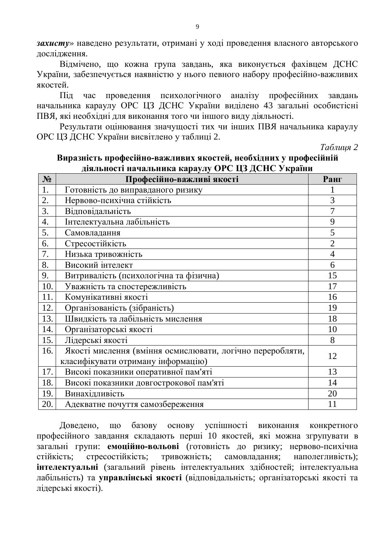**захисту**» наведено результати, отримані у ході проведення власного авторського дослідження.

Відмічено, що кожна група завдань, яка виконується фахівцем ДСНС України, забезпечується наявністю у нього певного набору професійно-важливих якостей.

Під час проведення психологічного аналізу професійних завдань начальника караулу ОРС ЦЗ ДСНС України виділено 43 загальні особистісні ПВЯ, які необхідні для виконання того чи іншого виду діяльності.

Результати оцінювання значущості тих чи інших ПВЯ начальника караулу ОРС ЦЗ ДСНС України висвітлено у таблиці 2.

*Tаблиця* 2

| $N_2$ | Професійно-важливі якості                                 | Ранг           |
|-------|-----------------------------------------------------------|----------------|
| 1.    | Готовність до виправданого ризику                         |                |
| 2.    | Нервово-психічна стійкість                                | 3              |
| 3.    | Відповідальність                                          |                |
| 4.    | Інтелектуальна лабільність                                | 9              |
| 5.    | Самовладання                                              | 5              |
| 6.    | Стресостійкість                                           | $\overline{2}$ |
| 7.    | Низька тривожність                                        | $\overline{4}$ |
| 8.    | Високий інтелект                                          | 6              |
| 9.    | Витривалість (психологічна та фізична)                    | 15             |
| 10.   | Уважність та спостережливість                             | 17             |
| 11.   | Комунікативні якості                                      | 16             |
| 12.   | Організованість (зібраність)                              | 19             |
| 13.   | Швидкість та лабільність мислення                         | 18             |
| 14.   | Організаторські якості                                    | 10             |
| 15.   | Лідерські якості                                          | 8              |
| 16.   | Якості мислення (вміння осмислювати, логічно переробляти, | 12             |
|       | класифікувати отриману інформацію)                        |                |
| 17.   | Високі показники оперативної пам'яті                      | 13             |
| 18.   | Високі показники довгострокової пам'яті                   | 14             |
| 19.   | Винахідливість                                            | 20             |
| 20.   | Адекватне почуття самозбереження                          | 11             |

# **Виразність професійно-важливих якостей, необхідних у професійній** ліяльності начальника караулу ОРС IIЗ ЛСНС України

Доведено, що базову основу успішності виконання конкретного професійного завдання складають перші 10 якостей, які можна згрупувати в загальні групи: емоційно-вольові (готовність до ризику; нервово-психічна стійкість; стресостійкість; тривожність; самовладання; наполегливість); **інтелектуальні** (загальний рівень інтелектуальних здібностей; інтелектуальна лабільність) та **управлінські якості** (відповідальність; організаторські якості та лідерські якості).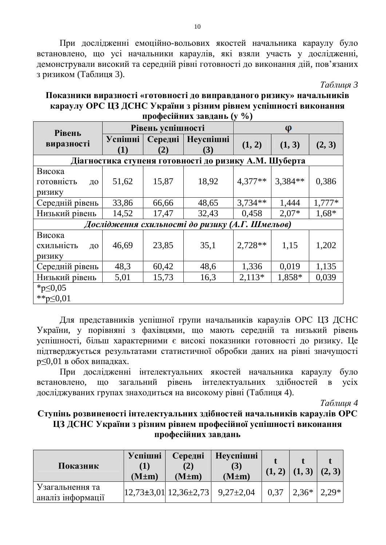При дослідженні емоційно-вольових якостей начальника караулу було встановлено, що усі начальники караулів, які взяли участь у дослідженні, демонстрували високий та середній рівні готовності до виконання дій, пов'язаних з ризиком (Таблиця 3).

*Tаблиия 3* 

| Показники виразності «готовності до виправданого ризику» начальників |
|----------------------------------------------------------------------|
| караулу ОРС ЦЗ ДСНС України з різним рівнем успішності виконання     |
| професійних завдань (у %)                                            |

| <b>Рівень</b>                                   |                       | Рівень успішності |                                                       | φ         |         |          |  |
|-------------------------------------------------|-----------------------|-------------------|-------------------------------------------------------|-----------|---------|----------|--|
| виразності                                      | <b>Успішні</b><br>(1) | Середні<br>(2)    | <b>Неуспішні</b><br>(3)                               | (1, 2)    | (1, 3)  | (2, 3)   |  |
|                                                 |                       |                   | Діагностика ступеня готовності до ризику А.М. Шуберта |           |         |          |  |
| Висока<br>готовність<br>ДО<br>ризику            | 51,62                 | 15,87             | 18,92                                                 | $4,377**$ | 3,384** | 0,386    |  |
| Середній рівень                                 | 33,86                 | 66,66             | 48,65                                                 | $3,734**$ | 1,444   | $1,777*$ |  |
| Низький рівень                                  | 14,52                 | 17,47             | 32,43                                                 | 0,458     | $2,07*$ | $1,68*$  |  |
| Дослідження схильності до ризику (А.Г. Шмельов) |                       |                   |                                                       |           |         |          |  |
| Висока<br>схильність<br>ДО<br>ризику            | 46,69                 | 23,85             | 35,1                                                  | $2,728**$ | 1,15    | 1,202    |  |
| Середній рівень                                 | 48,3                  | 60,42             | 48,6                                                  | 1,336     | 0,019   | 1,135    |  |
| Низький рівень                                  | 5,01                  | 15,73             | 16,3                                                  | $2,113*$  | 1,858*  | 0,039    |  |
| * $p \le 0,05$<br>** $p \le 0,01$               |                       |                   |                                                       |           |         |          |  |

Для представників успішної групи начальників караулів ОРС ЦЗ ДСНС України, у порівняні з фахівцями, що мають середній та низький рівень успішності, більш характерними є високі показники готовності до ризику. Це підтверджується результатами статистичної обробки даних на рівні значущості  $p \leq 0.01$  в обох випадках.

При дослідженні інтелектуальних якостей начальника караулу було встановлено, що загальний рівень інтелектуальних здібностей в усіх досліджуваних групах знаходиться на високому рівні (Таблиця 4).

*Ɍɚɛɥɢɰɹ 4* 

#### Ступінь розвиненості інтелектуальних здібностей начальників караулів ОРС ЦЗ ДСНС України з різним рівнем професійної успішності виконання професійних завдань

| Показник                             | Успішні<br>$(M \pm m)$ | Середні<br>$(M \pm m)$                            | <b>Неуспішні</b><br>(3)<br>$(M \pm m)$ |      | (1, 3)   | (2, 3)  |
|--------------------------------------|------------------------|---------------------------------------------------|----------------------------------------|------|----------|---------|
| Узагальнення та<br>аналіз інформації |                        | $ 12,73\pm3,01 $ $ 12,36\pm2,73 $ $ 9,27\pm2,04 $ |                                        | 0.37 | $12,36*$ | $2.29*$ |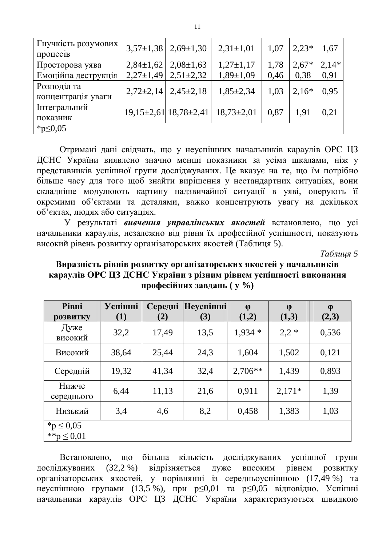| Гнучкість розумових<br>процеств   |               | $3,57\pm1,38$   $2,69\pm1,30$ | $2,31\pm1,01$   | 1,07 | $2,23*$ | 1,67    |
|-----------------------------------|---------------|-------------------------------|-----------------|------|---------|---------|
| Просторова уява                   | $2,84\pm1,62$ | $2,08\pm1,63$                 | $1,27\pm1,17$   | 1,78 | $2,67*$ | $2,14*$ |
| Емоційна деструкція               | $2,27\pm1,49$ | $2,51\pm2,32$                 | $1,89 \pm 1,09$ | 0,46 | 0,38    | 0,91    |
| Розподіл та<br>концентрація уваги | $2,72\pm2,14$ | $2,45\pm2,18$                 | $1,85\pm2,34$   | 1,03 | $2,16*$ | 0,95    |
| Інтегральний<br>показник          |               | $ 19,15\pm2,61 18,78\pm2,41 $ | $18,73\pm2,01$  | 0,87 | 1,91    | 0,21    |
| * $p \le 0,05$                    |               |                               |                 |      |         |         |

Отримані дані свідчать, що у неуспішних начальників караулів ОРС ЦЗ ДСНС України виявлено значно менші показники за усіма шкалами, ніж у представників успішної групи досліджуваних. Це вказує на те, що їм потрібно більше часу для того щоб знайти вирішення у нестандартних ситуаціях, вони складніше модулюють картину надзвичайної ситуації в уяві, оперують її окремими об'єктами та деталями, важко концентрують увагу на декількох об'єктах, людях або ситуаціях.

У результаті вивчення управлінських якостей встановлено, що усі начальники караулів, незалежно від рівня їх професійної успішності, показують високий рівень розвитку організаторських якостей (Таблиця 5).

 $Ta6$ лиця 5

#### Виразність рівнів розвитку організаторських якостей у начальників караулів ОРС ЦЗ ДСНС України з різним рівнем успішності виконання Професійних завдань ( у %)

| <b>Рівні</b>        | Успішні | Середні | Heycnimhi | $\phi$    | $\phi$   | $\phi$ |
|---------------------|---------|---------|-----------|-----------|----------|--------|
| розвитку            | (1)     | (2)     | (3)       | (1,2)     | (1,3)    | (2,3)  |
| Дуже<br>високий     | 32,2    | 17,49   | 13,5      | $1,934*$  | $2,2*$   | 0,536  |
| Високий             | 38,64   | 25,44   | 24,3      | 1,604     | 1,502    | 0,121  |
| Середній            | 19,32   | 41,34   | 32,4      | $2,706**$ | 1,439    | 0,893  |
| Нижче<br>середнього | 6,44    | 11,13   | 21,6      | 0,911     | $2,171*$ | 1,39   |
| Низький             | 3,4     | 4,6     | 8,2       | 0,458     | 1,383    | 1,03   |
| * $p \le 0.05$      |         |         |           |           |          |        |
| ** $p \le 0.01$     |         |         |           |           |          |        |

Встановлено, що більша кількість досліджуваних успішної групи досліджуваних (32,2 %) відрізняється дуже високим рівнем розвитку організаторських якостей, у порівнянні із середньоуспішною (17,49 %) та неуспішною групами (13,5 %), при  $p \le 0.01$  та  $p \le 0.05$  відповідно. Успішні начальники караулів ОРС ЦЗ ДСНС України характеризуються швидкою

11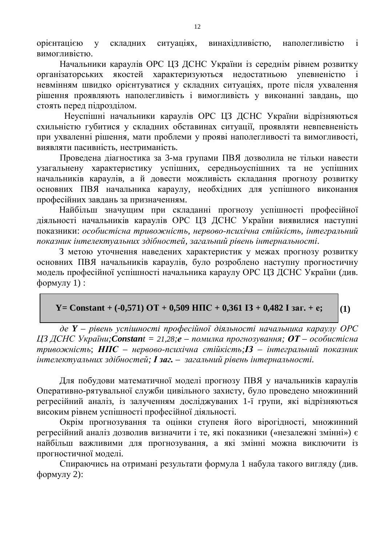**орієнтацією у складних ситуаціях, винахідливістю, наполегливістю і** вимогливістю.

Начальники караулів ОРС ЦЗ ДСНС України із середнім рівнем розвитку організаторських якостей характеризуються недостатньою упевненістю невмінням швидко орієнтуватися у складних ситуаціях, проте після ухвалення рішення проявляють наполегливість і вимогливість у виконанні завдань, що стоять перед підрозділом.

Неуспішні начальники караулів ОРС ЦЗ ДСНС України відрізняються схильністю губитися у складних обставинах ситуації, проявляти невпевненість при ухваленні рішення, мати проблеми у прояві наполегливості та вимогливості, виявляти пасивність, нестриманість.

Проведена діагностика за 3-ма групами ПВЯ дозволила не тільки навести узагальнену характеристику успішних, середньоуспішних та не успішних начальників караулів, а й довести можливість складання прогнозу розвитку основних ПВЯ начальника караулу, необхідних для успішного виконання професійних завдань за призначенням.

Найбільш значущим при складанні прогнозу успішності професійної діяльності начальників караулів ОРС ЦЗ ДСНС України виявилися наступні показники: особистісна тривожність, нервово-психічна стійкість, інтегральний показник інтелектуальних здібностей, загальний рівень інтернальності.

З метою уточнення наведених характеристик у межах прогнозу розвитку основних ПВЯ начальників караулів, було розроблено наступну прогностичну модель професійної успішності начальника караулу ОРС ЦЗ ДСНС України (див.  $\phi$ ормулу 1):

#### **(1)**  $Y =$  Constant +  $(-0.571)$   $\text{OT} + 0.509$   $\text{H}\text{HC} + 0.361$   $\text{I}3 + 0.482$  I  $\text{3ar} + \text{e}$ ;

де **Y** – рівень успішності професійної діяльності начальника караулу ОРС *µЗ ДСНС України; Constant* = 21,28;е – помилка прогнозування; ОТ – особистісна  $mpu$ вожність;  $H$ ПС – нервово-психічна стійкість; IЗ – інтегральний показник  $i$ нтелектуальних здібностей; **І заг.** – загальний рівень інтернальності.

Для побудови математичної моделі прогнозу ПВЯ у начальників караулів Оперативно-рятувальної служби цивільного захисту, було проведено множинний регресійний аналіз, із залученням досліджуваних 1-ї групи, які відрізняються високим рівнем успішності професійної діяльності.

Окрім прогнозування та оцінки ступеня його вірогідності, множинний регресійний аналіз дозволив визначити і те, які показники («незалежні змінні») є найбільш важливими для прогнозування, а які змінні можна виключити із прогностичної моделі.

Спираючись на отримані результати формула 1 набула такого вигляду (див.  $\phi$ ормулу 2):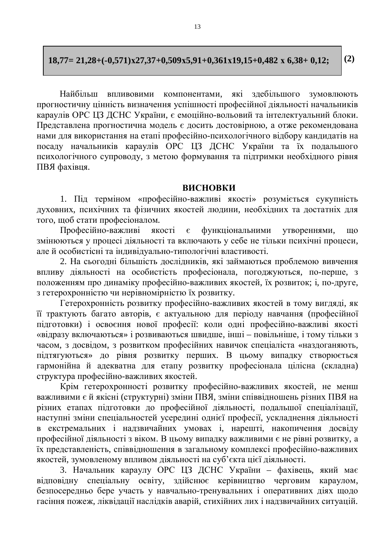#### **18,77= 21,28+(-0,571)ɯ27,37+0,509ɯ5,91+0,361ɯ19,15+0,482 ɯ 6,38+ 0,12;**

**(2)**

Найбільш впливовими компонентами, які злебільшого зумовлюють прогностичну цінність визначення успішності професійної діяльності начальників караулів ОРС ЦЗ ДСНС України, є емоційно-вольовий та інтелектуальний блоки. Представлена прогностична модель є досить достовірною, а отже рекомендована нами для використання на етапі професійно-психологічного відбору кандидатів на посаду начальників караулів ОРС ЦЗ ДСНС України та їх подальшого психологічного супроводу, з метою формування та підтримки необхідного рівня ПВЯ фахівця.

#### **ВИСНОВКИ**

1. Під терміном «професійно-важливі якості» розуміється сукупність духовних, психічних та фізичних якостей людини, необхідних та достатніх для того, щоб стати професіоналом.

Професійно-важливі якості є функціональними утвореннями, що змінюються у процесі діяльності та включають у себе не тільки психічні процеси, але й особистісні та індивідуально-типологічні властивості.

2. На сьогодні більшість дослідників, які займаються проблемою вивчення впливу діяльності на особистість професіонала, погоджуються, по-перше, з положенням про динаміку професійно-важливих якостей, їх розвиток; і, по-друге, з гетерохронністю чи нерівномірністю їх розвитку.

Гетерохронність розвитку професійно-важливих якостей в тому вигдяді, як п трактують багато авторів, є актуальною для періоду навчання (професійної підготовки) і освоєння нової професії: коли одні професійно-важливі якості «відразу включаються» і розвиваються швидше, інші – повільніше, і тому тільки з часом, з досвідом, з розвитком професійних навичок спеціаліста «наздоганяють, підтягуються» до рівня розвитку перших. В цьому випадку створюється гармонійна й адекватна для етапу розвитку професіонала цілісна (складна) структура професійно-важливих якостей.

Крім гетерохронності розвитку професійно-важливих якостей, не менш важливими є й якісні (структурні) зміни ПВЯ, зміни співвідношень різних ПВЯ на різних етапах підготовки до професійної діяльності, подальшої спеціалізації, наступні зміни спеціальностей усередині однієї професії, ускладнення діяльності в екстремальних і надзвичайних умовах і, нарешті, накопичення досвіду професійної діяльності з віком. В цьому випадку важливими є не рівні розвитку, а їх представленість, співвідношення в загальному комплексі професійно-важливих якостей, зумовленому впливом діяльності на суб'єкта цієї діяльності.

3. Начальник караулу ОРС ЦЗ ДСНС України - фахівець, який має відповідну спеціальну освіту, здійснює керівництво черговим караулом, безпосередньо бере участь у навчально-тренувальних і оперативних діях щодо гасіння пожеж, ліквідації наслідків аварій, стихійних лих і надзвичайних ситуацій.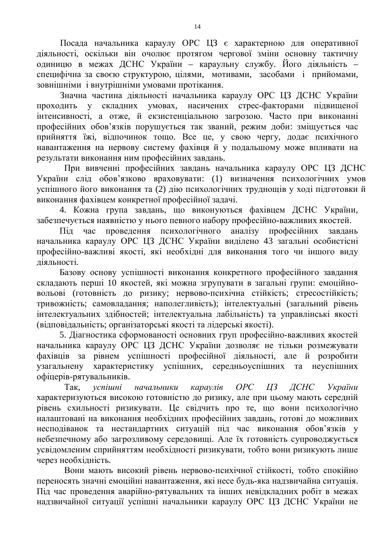Посада начальника караулу ОРС ЦЗ є характерною для оперативної діяльності, оскільки він очолює протягом чергової зміни основну тактичну одиницю в межах ДСНС України - караульну службу. Його діяльність специфічна за своєю структурою, цілями, мотивами, засобами і прийомами, зовнішніми і внутрішніми умовами протікання.

Значна частина діяльності начальника караулу ОРС ЦЗ ДСНС України проходить у складних умовах, насичених стрес-факторами підвищеної інтенсивності, а отже, й екзистенціальною загрозою. Часто при виконанні професійних обов'язків порушується так званий, режим доби: зміщується час прийняття їжі, відпочинок тощо. Все це, у свою чергу, додає психічного навантаження на нервову систему фахівця й у подальшому може впливати на результати виконання ним професійних завдань.

При вивченні професійних завлань начальника караулу ОРС ЦЗ ДСНС України слід обов'язково враховувати: (1) визначення психологічних умов успішного його виконання та (2) дію психологічних труднощів у ході підготовки й виконання фахівцем конкретної професійної задачі.

4. Кожна група завдань, що виконуються фахівцем ДСНС України, забезпечується наявністю у нього певного набору професійно-важливих якостей.

Піл час провелення психологічного аналізу професійних завлань начальника караулу ОРС ЦЗ ДСНС України виділено 43 загальні особистісні професійно-важливі якості, які необхілні для виконання того чи іншого виду діяльності.

Базову основу успішності виконання конкретного професійного завдання складають перші 10 якостей, які можна згрупувати в загальні групи: емоційновольові (готовність до ризику; нервово-психічна стійкість; стресостійкість; тривожність; самовладання; наполегливість); інтелектуальні (загальний рівень інтелектуальних здібностей; інтелектуальна лабільність) та управлінські якості (відповідальність; організаторські якості та лідерські якості).

5. Діагностика сформованості основних груп професійно-важливих якостей начальника караулу ОРС ЦЗ ДСНС України дозволяє не тільки розмежувати фахівців за рівнем успішності професійної діяльності, але й розробити узагальнену характеристику успішних, середньоуспішних та неуспішних офіцерів-рятувальників.

Так, *успішні начальники караулів ОРС ЦЗ ДСНС України* характеризуються високою готовністю до ризику, але при цьому мають середній ги готов и по изникувати. Це свідчить про те, що вони психологічно налаштовані на виконання необхідних професійних завдань, готові до можливих несподіванок та нестандартних ситуацій під час виконання обов'язків у небезпечному або загрозливому середовищі. Але їх готовність супроводжується vсвіломленим сприйняттям необхілності ризикувати, тобто вони ризикують лише через необхідність.

Вони мають високий рівень нервово-психічної стійкості, тобто спокійно переносять значні емоційні навантаження, які несе будь-яка надзвичайна ситуація. Під час проведення аварійно-рятувальних та інших невідкладних робіт в межах надзвичайної ситуації успішні начальники караулу ОРС ЦЗ ДСНС України не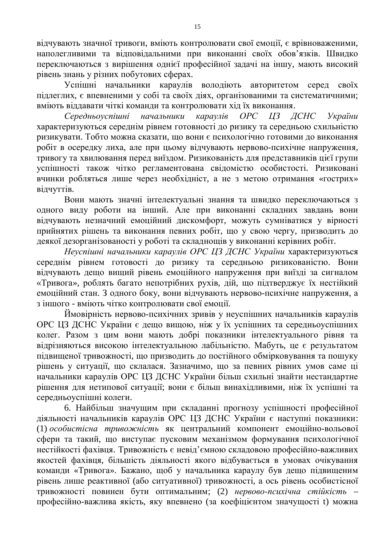відчувають значної тривоги, вміють контролювати свої емоції, є врівноваженими, наполегливими та відповідальними при виконанні своїх обов'язків. Швидко переключаються з вирішення однієї професійної задачі на іншу, мають високий  $pi$ вівень знань у різних побутових сферах.

Успішні начальники караулів володіють авторитетом серед своїх підлеглих, є впевненими у собі та своїх діях, організованими та систематичними; вміють віддавати чіткі команди та контролювати хід їх виконання.

Середньоуспішні начальники караулів ОРС ЦЗ ДСНС України характеризуються середнім рівнем готовності до ризику та середньою схильністю ризикувати. Тобто можна сказати, що вони є психологічно готовими до виконання робіт в осередку лиха, але при цьому відчувають нервово-психічне напруження, тривогу та хвилювання перед виїздом. Ризикованість для представників цієї групи успішності також чітко регламентована свідомістю особистості. Ризиковані вчинки робляться лише через необхідніст, а не з метою отримання «гострих» відчуттів.

Вони мають значні інтелектуальні знання та швидко переключаються з одного виду роботи на інший. Але при виконанні складних завдань вони відчувають незначний емоційний дискомфорт, можуть сумніватися у вірності прийнятих рішень та виконання певних робіт, що у свою чергу, призводить до деякої дезорганізованості у роботі та складнощів у виконанні керівних робіт.

Неуспішні начальники караулів ОРС ЦЗ ДСНС України характеризуються середнім рівнем готовості до ризику та середньою ризикованістю. Вони відчувають дещо вищий рівень емоційного напруження при виїзді за сигналом «Тривога», роблять багато непотрібних рухів, дій, що підтверджує їх нестійкий емоційний стан. З одного боку, вони відчувають нервово-психічне напруження, а з іншого - вміють чітко контролювати свої емоції.

Ймовірність нервово-психічних зривів у неуспішних начальників караулів ОРС ЦЗ ДСНС України є дещо вищою, ніж у їх успішних та середньоуспішних колег. Разом з цим вони мають добрі показники інтелектуального рівня та відрізняються високою інтелектуальною лабільністю. Мабуть, це є результатом підвищеної тривожності, що призводить до постійного обмірковування та пошуку рішень у ситуації, що склалася. Зазначимо, що за певних рівних умов саме ці начальники караулів ОРС ЦЗ ДСНС України більш схильні знайти нестандартне рішення для нетипової ситуації; вони є більш винахідливими, ніж їх успішні та середньоуспішні колеги.

6. Найбільш значущим при складанні прогнозу успішності професійної діяльності начальників караулів ОРС ЦЗ ДСНС України є наступні показники: (1) *особистісна тривожність* як центральний компонент емоційно-вольової сфери та такий, що виступає пусковим механізмом формування психологічної нестійкості фахівця. Тривожність є невід'ємною складовою професійно-важливих якостей фахівця, більшість діяльності якого відбувається в умовах очікування команди «Тривога». Бажано, щоб у начальника караулу був дещо підвищеним рівень лише реактивної (або ситуативної) тривожності, а ось рівень особистісної тривожності повинен бути оптимальним; (2) нервово-психічна стійкість професійно-важлива якість, яку впевнено (за коефіцієнтом значущості t) можна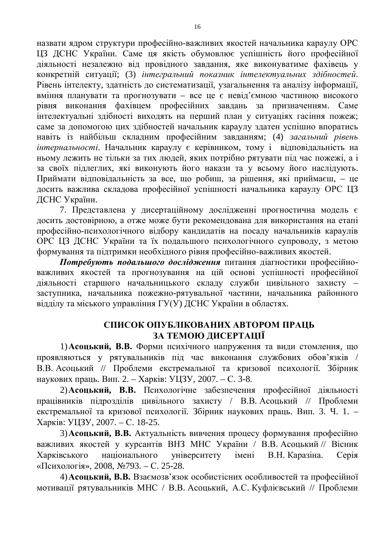назвати ядром структури професійно-важливих якостей начальника караулу ОРС ЦЗ ДСНС України. Саме ця якість обумовлює успішність його професійної діяльності незалежно від провідного завдання, яке виконуватиме фахівець у конкретній ситуації; (3) *інтегральний показник інтелектуальних здібностей*. Рівень інтелекту, здатність до систематизації, узагальнення та аналізу інформації, вміння планувати та прогнозувати – все це є невід'ємною частиною високого рівня виконання фахівцем професійних завдань за призначенням. Саме інтелектуальні здібності виходять на перший план у ситуаціях гасіння пожеж; саме за допомогою цих здібностей начальник караулу здатен успішно впоратись навіть із найбільш складним професійним завданням; (4) загальний рівень *інтернальності*. Начальник караулу є керівником, тому і відповідальність на ньому лежить не тільки за тих людей, яких потрібно рятувати під час пожежі, а і за своїх підлеглих, які виконують його накази та у всьому його наслідують. Приймати відповідальність за все, що робиш, за рішення, які приймаєш, - це досить важлива складова професійної успішності начальника караулу ОРС ЦЗ ДСНС України.

7. Представлена у дисертаційному дослідженні прогностична модель є досить достовірною, а отже може бути рекомендована для використання на етапі професійно-психологічного відбору кандидатів на посаду начальників караулів ОРС ЦЗ ДСНС України та їх подальшого психологічного супроводу, з метою формування та пілтримки необхілного рівня професійно-важливих якостей.

**Потребують подальшого дослідження** питання діагностики професійноважливих якостей та прогнозування на цій основі успішності професійної діяльності старшого начальницького складу служби цивільного захисту заступника, начальника пожежно-рятувальної частини, начальника районного відділу та міського управління ГУ(У) ДСНС України в областях.

# СПИСОК ОПУБЛІКОВАНИХ АВТОРОМ ПРАШЬ ЗА ТЕМОЮ ДИСЕРТАЦІЇ

1) Асоцький, В.В. Форми психічного напруження та види стомлення, що проявляються у рятувальників під час виконання службових обов'язків / В.В. Асоцький // Проблеми екстремальної та кризової психології. Збірник наукових праць. Вип. 2. – Харків: УЦЗУ, 2007. – С. 3-8.

2) Асоцький, В.В. Психологічне забезпечення професійної діяльності працівників підрозділів цивільного захисту / В.В. Асоцький // Проблеми екстремальної та кризової психології. Збірник наукових праць. Вип. 3. Ч. 1. – Харків: УШЗУ, 2007. – С. 18-25.

3) Асоцький, В.В. Актуальність вивчення процесу формування професійно важливих якостей у курсантів ВНЗ МНС України / В.В. Асоцький // Вісник Харківського національного університету імені В.Н. Каразіна. Серія «Психологія», 2008, №793. – С. 25-28.

4) Асоцький, В.В. Взаємозв'язок особистісних особливостей та професійної мотивації рятувальників МНС / В.В. Асоцький, А.С. Куфлієвський // Проблеми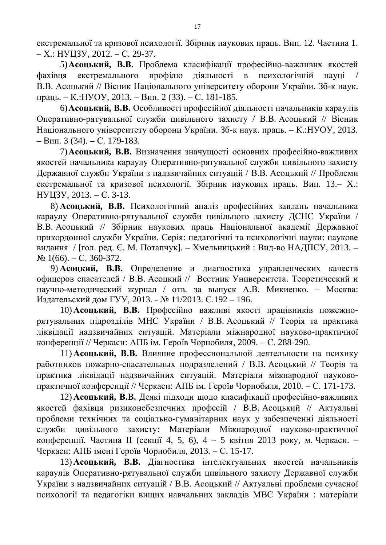екстремальної та кризової психології. Збірник наукових праць. Вип. 12. Частина 1.  $- X$ .: HYII3Y, 2012.  $- C$ . 29-37.

5) Асоцький, В.В. Проблема класифікації професійно-важливих якостей фахівця екстремального профілю діяльності в психологічній науці В.В. Асоцький // Вісник Національного університету оборони України. Зб-к наук. праць. – К.:НУОУ, 2013. – Вип. 2 (33). – С. 181-185.

6) **Асоцький, В.В.** Особливості професійної діяльності начальників караулів Оперативно-рятувальної служби цивільного захисту / В.В. Асоцький // Вісник Національного університету оборони України. Зб-к наук. праць. – К.: НУОУ, 2013.  $-$  Вип. 3 (34).  $-$  С. 179-183.

7) Асоцький, В.В. Визначення значущості основних професійно-важливих якостей начальника караулу Оперативно-рятувальної служби цивільного захисту Державної служби України з надзвичайних ситуацій / В.В. Асоцький // Проблеми екстремальної та кризової психології. Збірник наукових праць. Вип. 13.– Х.: HYII3Y, 2013. – C. 3-13.

8) **Асоцький, В.В.** Психологічний аналіз професійних завдань начальника караулу Оперативно-рятувальної служби цивільного захисту ДСНС України / В.В. Асоцький // Збірник наукових праць Національної академії Державної прикордонної служби України. Серія: педагогічні та психологічні науки: наукове видання / [гол. ред. Є. М. Потапчук]. – Хмельницький: Вид-во НАДПСУ, 2013. –  $N<sub>2</sub> 1(66)$ . – C. 360-372.

9) Асоцкий, В.В. Определение и диагностика управленческих качеств офицеров спасателей / В.В. Асоцкий // Вестник Университета. Теоретический и научно-методический журнал / отв. за выпуск А.В. Микиенко. – Москва: Издательский дом ГУУ, 2013. - № 11/2013. С.192 – 196.

10) Асоцький, В.В. Професійно важливі якості працівників пожежнорятувальних підрозділів МНС України / В.В. Асоцький // Теорія та практика ліквідації надзвичайних ситуацій. Матеріали міжнародної науково-практичної конференції // Черкаси: АПБ ім. Героїв Чорнобиля, 2009. – С. 288-290.

11) **Асоцький, В.В.** Влияние профессиональной деятельности на психику работников пожарно-спасательных подразделений / В.В. Асоцький // Теорія та практика ліквідації надзвичайних ситуацій. Матеріали міжнародної науковопрактичної конференції // Черкаси: АПБ ім. Героїв Чорнобиля, 2010. – С. 171-173.

12) Асоцький, В.В. Деякі підходи щодо класифікації професійно-важливих якостей фахівця ризиконебезпечних професій / В.В. Асоцький // Актуальні проблеми технічних та соціально-гуманітарних наук у забезпеченні діяльності служби цивільного захисту: Матеріали Міжнародної науково-практичної конференції. Частина II (секції 4, 5, 6), 4 – 5 квітня 2013 року, м. Черкаси. – Черкаси: АПБ імені Героїв Чорнобиля, 2013. – С. 15-17.

13) Асоцький, В.В. Діагностика інтелектуальних якостей начальників караулів Оперативно-рятувальної служби цивільного захисту Державної служби України з надзвичайних ситуацій / В.В. Асоцький // Актуальні проблеми сучасної психології та педагогіки вищих навчальних закладів МВС України: матеріали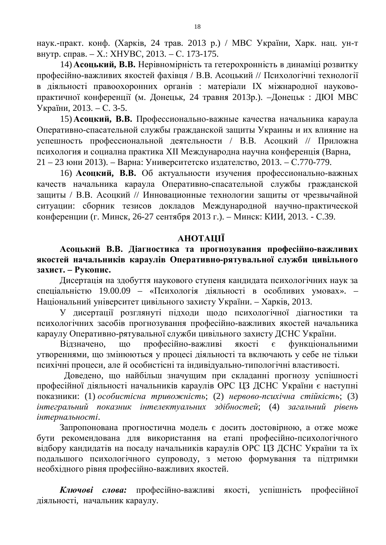наук.-практ. конф. (Харків, 24 трав. 2013 р.) / МВС України, Харк. нац. ун-т внутр. справ. – Х.: ХНУВС, 2013. – С. 173-175.

14) **Асоцький, В.В.** Нерівномірність та гетерохронність в динаміці розвитку професійно-важливих якостей фахівця / В.В. Асоцький // Психологічні технології в діяльності правоохоронних органів : матеріали IX міжнародної науковопрактичної конференції (м. Донецьк, 24 травня 2013р.). –Донецьк: ДЮІ МВС України, 2013. – С. 3-5.

15) **Асоцкий, В.В.** Профессионально-важные качества начальника караула Оперативно-спасательной службы гражданской защиты Украины и их влияние на успешность профессиональной деятельности / В.В. Асоцкий // Приложна психология и социална практика XII Международна научна конференція (Варна,  $21 - 23$  юни 2013). – Варна: Университетско издателство, 2013. – С.770-779.

16) **Асоцкий, В.В.** Об актуальности изучения профессионально-важных качеств начальника караула Оперативно-спасательной службы гражданской защиты / В.В. Асоцкий // Инновационные технологии защиты от чрезвычайной ситуации: сборник тезисов докладов Международной научно-практической конференции (г. Минск, 26-27 сентября 2013 г.). – Минск: КИИ, 2013. - С.39.

#### **AHOTAIIIÏ**

#### Асоцький В.В. Діагностика та прогнозування професійно-важливих якостей начальників караулів Оперативно-рятувальної служби цивільного **захист. – Рукопис.**

Дисертація на здобуття наукового ступеня кандидата психологічних наук за спеціальністю 19.00.09 – «Психологія діяльності в особливих умовах». – Національний університет цивільного захисту України. – Харків, 2013.

У дисертації розглянуті підходи щодо психологічної діагностики та психологічних засобів прогнозування професійно-важливих якостей начальника караулу Оперативно-рятувальної служби цивільного захисту ДСНС України.

Відзначено, що професійно-важливі якості є функціональними утвореннями, що змінюються у процесі діяльності та включають у себе не тільки психічні процеси, але й особистісні та індивідуально-типологічні властивості.

Доведено, що найбільш значущим при складанні прогнозу успішності професійної діяльності начальників караулів ОРС ЦЗ ДСНС України є наступні показники: (1) *особистісна тривожність*; (2) нервово-психічна стійкість; (3) iнтегральний показник *iнтелектуальних здiбностей*; (4) загальний рiвень  $i$ *нтернальності.* 

Запропонована прогностична модель є досить достовірною, а отже може бути рекомендована для використання на етапі професійно-психологічного відбору кандидатів на посаду начальників караулів ОРС ЦЗ ДСНС України та їх подальшого психологічного супроводу, з метою формування та підтримки необхідного рівня професійно-важливих якостей.

Ключові слова: професійно-важливі якості, успішність професійної діяльності, начальник караулу.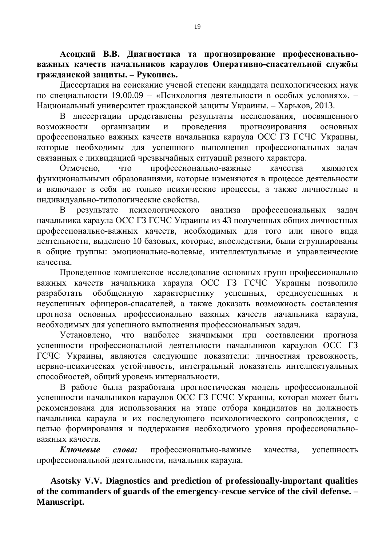Асоцкий В.В. Диагностика та прогнозирование профессионально**важных качеств начальников караулов Оперативно-спасательной службы** гражданской защиты. – Рукопись.

Диссертация на соискание ученой степени кандидата психологических наук по специальности 19.00.09 – «Психология деятельности в особых условиях». – Национальный университет гражданской защиты Украины. – Харьков, 2013.

В диссертации представлены результаты исследования, посвященного возможности организации и проведения прогнозирования основных профессионально важных качеств начальника караула ОСС ГЗ ГСЧС Украины, которые необходимы для успешного выполнения профессиональных задач связанных с ликвидацией чрезвычайных ситуаций разного характера.

Отмечено, что профессионально-важные качества являются функциональными образованиями, которые изменяются в процессе деятельности и включают в себя не только психические процессы, а также личностные и индивидуально-типологические свойства.

В результате психологического анализа профессиональных задач начальника караула ОСС ГЗ ГСЧС Украины из 43 полученных общих личностных профессионально-важных качеств, необходимых для того или иного вида деятельности, выделено 10 базовых, которые, впоследствии, были сгруппированы в общие группы: эмоционально-волевые, интеллектуальные и управленческие качества.

Проведенное комплексное исследование основных групп профессионально важных качеств начальника караула ОСС ГЗ ГСЧС Украины позволило разработать обобщенную характеристику успешных, среднеуспешных и неуспешных офицеров-спасателей, а также доказать возможность составления прогноза основных профессионально важных качеств начальника караула, необходимых для успешного выполнения профессиональных задач.

Установлено, что наиболее значимыми при составлении прогноза успешности профессиональной деятельности начальников караулов ОСС ГЗ ГСЧС Украины, являются следующие показатели: личностная тревожность, нервно-психическая устойчивость, интегральный показатель интеллектуальных способностей, общий уровень интернальности.

В работе была разработана прогностическая модель профессиональной успешности начальников караулов ОСС ГЗ ГСЧС Украины, которая может быть рекомендована для использования на этапе отбора кандидатов на должность начальника караула и их последующего психологического сопровождения, с целью формирования и поддержания необходимого уровня профессиональноважных качеств.

Ключевые слова: профессионально-важные качества, успешность профессиональной деятельности, начальник караула.

**Asotsky V.V. Diagnostics and prediction of professionally-important qualities of the commanders of guards of the emergency-rescue service of the civil defense. – Manuscript.**